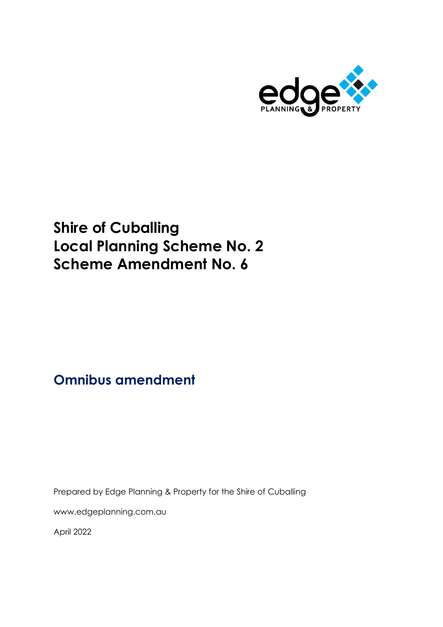

# **Shire of Cuballing Local Planning Scheme No. 2 Scheme Amendment No. 6**

# **Omnibus amendment**

Prepared by Edge Planning & Property for the Shire of Cuballing

[www.edgeplanning.com.au](http://www.edgeplanning.com.au/)

April 2022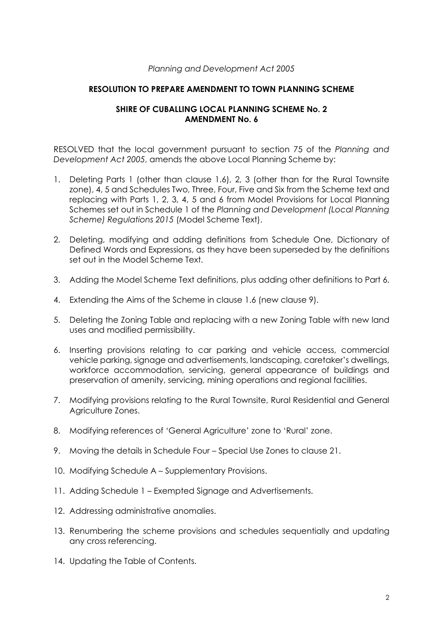#### *Planning and Development Act 2005*

#### **RESOLUTION TO PREPARE AMENDMENT TO TOWN PLANNING SCHEME**

#### **SHIRE OF CUBALLING LOCAL PLANNING SCHEME No. 2 AMENDMENT No. 6**

RESOLVED that the local government pursuant to section 75 of the *Planning and Development Act 2005*, amends the above Local Planning Scheme by:

- 1. Deleting Parts 1 (other than clause 1.6), 2, 3 (other than for the Rural Townsite zone), 4, 5 and Schedules Two, Three, Four, Five and Six from the Scheme text and replacing with Parts 1, 2, 3, 4, 5 and 6 from Model Provisions for Local Planning Schemes set out in Schedule 1 of the *Planning and Development (Local Planning Scheme) Regulations 2015* (Model Scheme Text).
- 2. Deleting, modifying and adding definitions from Schedule One, Dictionary of Defined Words and Expressions, as they have been superseded by the definitions set out in the Model Scheme Text.
- 3. Adding the Model Scheme Text definitions, plus adding other definitions to Part 6.
- 4. Extending the Aims of the Scheme in clause 1.6 (new clause 9).
- 5. Deleting the Zoning Table and replacing with a new Zoning Table with new land uses and modified permissibility.
- 6. Inserting provisions relating to car parking and vehicle access, commercial vehicle parking, signage and advertisements, landscaping, caretaker's dwellings, workforce accommodation, servicing, general appearance of buildings and preservation of amenity, servicing, mining operations and regional facilities.
- 7. Modifying provisions relating to the Rural Townsite, Rural Residential and General Agriculture Zones.
- 8. Modifying references of 'General Agriculture' zone to 'Rural' zone.
- 9. Moving the details in Schedule Four Special Use Zones to clause 21.
- 10. Modifying Schedule A Supplementary Provisions.
- 11. Adding Schedule 1 Exempted Signage and Advertisements.
- 12. Addressing administrative anomalies.
- 13. Renumbering the scheme provisions and schedules sequentially and updating any cross referencing.
- 14. Updating the Table of Contents.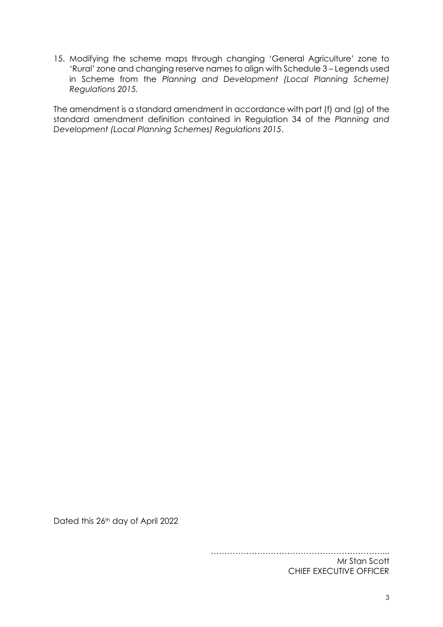15. Modifying the scheme maps through changing 'General Agriculture' zone to 'Rural' zone and changing reserve names to align with Schedule 3 – Legends used in Scheme from the *Planning and Development (Local Planning Scheme) Regulations 2015.*

The amendment is a standard amendment in accordance with part (f) and (g) of the standard amendment definition contained in Regulation 34 of the *Planning and Development (Local Planning Schemes) Regulations 2015*.

Dated this 26<sup>th</sup> day of April 2022

………………………………………………………... Mr Stan Scott CHIEF EXECUTIVE OFFICER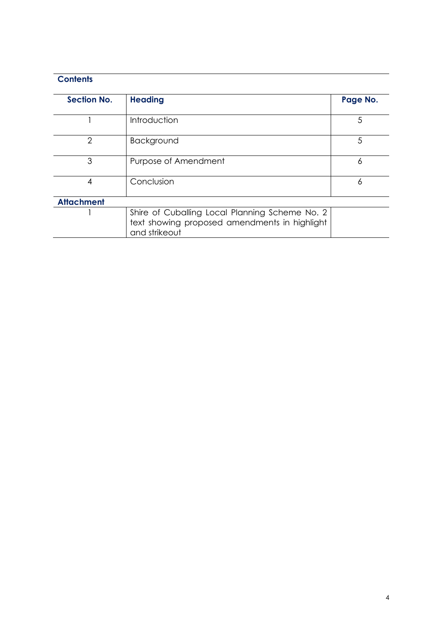# **Contents**

| <b>Section No.</b> | <b>Heading</b>                                                                                                   | Page No. |
|--------------------|------------------------------------------------------------------------------------------------------------------|----------|
|                    | Introduction                                                                                                     | 5        |
| 2                  | Background                                                                                                       | 5        |
| 3                  | Purpose of Amendment                                                                                             | 6        |
| 4                  | Conclusion                                                                                                       | 6        |
| <b>Attachment</b>  |                                                                                                                  |          |
|                    | Shire of Cuballing Local Planning Scheme No. 2<br>text showing proposed amendments in highlight<br>and strikeout |          |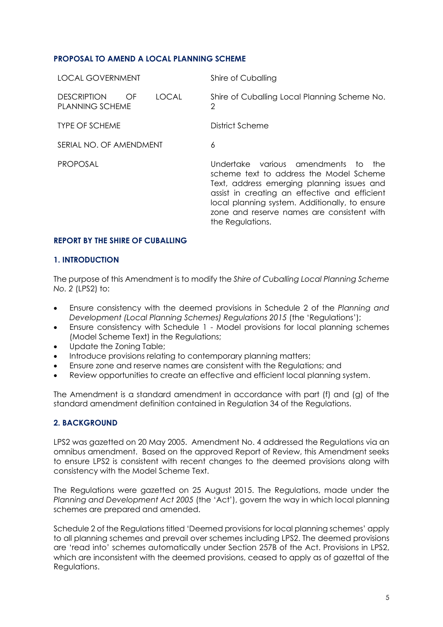#### **PROPOSAL TO AMEND A LOCAL PLANNING SCHEME**

| <b>LOCAL GOVERNMENT</b>                            |              | Shire of Cuballing                                                                                                                                                                                                                                                                                |
|----------------------------------------------------|--------------|---------------------------------------------------------------------------------------------------------------------------------------------------------------------------------------------------------------------------------------------------------------------------------------------------|
| <b>DESCRIPTION</b><br>OF<br><b>PLANNING SCHEME</b> | <b>LOCAL</b> | Shire of Cuballing Local Planning Scheme No.<br>2                                                                                                                                                                                                                                                 |
| <b>TYPE OF SCHEME</b>                              |              | District Scheme                                                                                                                                                                                                                                                                                   |
| SERIAL NO. OF AMENDMENT                            |              | 6                                                                                                                                                                                                                                                                                                 |
| <b>PROPOSAL</b>                                    |              | Undertake various amendments to the<br>scheme text to address the Model Scheme<br>Text, address emerging planning issues and<br>assist in creating an effective and efficient<br>local planning system. Additionally, to ensure<br>zone and reserve names are consistent with<br>the Regulations. |

#### **REPORT BY THE SHIRE OF CUBALLING**

#### **1. INTRODUCTION**

The purpose of this Amendment is to modify the *Shire of Cuballing Local Planning Scheme No. 2* (LPS2) to:

- Ensure consistency with the deemed provisions in Schedule 2 of the *Planning and Development (Local Planning Schemes) Regulations 2015* (the 'Regulations');
- Ensure consistency with Schedule 1 Model provisions for local planning schemes (Model Scheme Text) in the Regulations;
- Update the Zoning Table;
- Introduce provisions relating to contemporary planning matters;
- Ensure zone and reserve names are consistent with the Regulations; and
- Review opportunities to create an effective and efficient local planning system.

The Amendment is a standard amendment in accordance with part (f) and (g) of the standard amendment definition contained in Regulation 34 of the Regulations.

#### **2. BACKGROUND**

LPS2 was gazetted on 20 May 2005. Amendment No. 4 addressed the Regulations via an omnibus amendment. Based on the approved Report of Review, this Amendment seeks to ensure LPS2 is consistent with recent changes to the deemed provisions along with consistency with the Model Scheme Text.

The Regulations were gazetted on 25 August 2015. The Regulations, made under the *Planning and Development Act 2005* (the 'Act'), govern the way in which local planning schemes are prepared and amended.

Schedule 2 of the Regulations titled 'Deemed provisions for local planning schemes' apply to all planning schemes and prevail over schemes including LPS2. The deemed provisions are 'read into' schemes automatically under Section 257B of the Act. Provisions in LPS2, which are inconsistent with the deemed provisions, ceased to apply as of gazettal of the Regulations.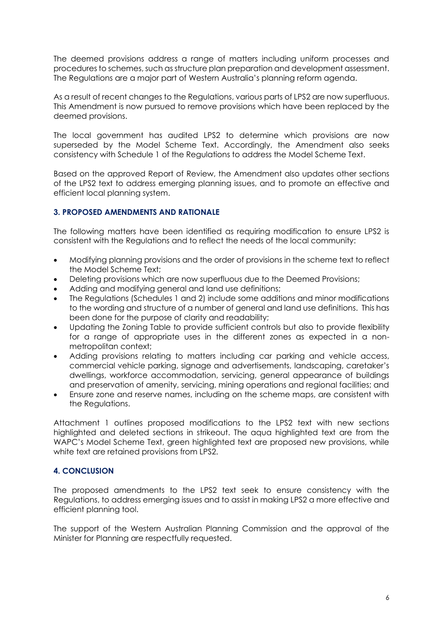The deemed provisions address a range of matters including uniform processes and procedures to schemes, such as structure plan preparation and development assessment. The Regulations are a major part of Western Australia's planning reform agenda.

As a result of recent changes to the Regulations, various parts of LPS2 are now superfluous. This Amendment is now pursued to remove provisions which have been replaced by the deemed provisions.

The local government has audited LPS2 to determine which provisions are now superseded by the Model Scheme Text. Accordingly, the Amendment also seeks consistency with Schedule 1 of the Regulations to address the Model Scheme Text.

Based on the approved Report of Review, the Amendment also updates other sections of the LPS2 text to address emerging planning issues, and to promote an effective and efficient local planning system.

#### **3. PROPOSED AMENDMENTS AND RATIONALE**

The following matters have been identified as requiring modification to ensure LPS2 is consistent with the Regulations and to reflect the needs of the local community:

- Modifying planning provisions and the order of provisions in the scheme text to reflect the Model Scheme Text;
- Deleting provisions which are now superfluous due to the Deemed Provisions;
- Adding and modifying general and land use definitions;
- The Regulations (Schedules 1 and 2) include some additions and minor modifications to the wording and structure of a number of general and land use definitions. This has been done for the purpose of clarity and readability;
- Updating the Zoning Table to provide sufficient controls but also to provide flexibility for a range of appropriate uses in the different zones as expected in a nonmetropolitan context;
- Adding provisions relating to matters including car parking and vehicle access, commercial vehicle parking, signage and advertisements, landscaping, caretaker's dwellings, workforce accommodation, servicing, general appearance of buildings and preservation of amenity, servicing, mining operations and regional facilities; and
- Ensure zone and reserve names, including on the scheme maps, are consistent with the Reaulations.

Attachment 1 outlines proposed modifications to the LPS2 text with new sections highlighted and deleted sections in strikeout. The aqua highlighted text are from the WAPC's Model Scheme Text, green highlighted text are proposed new provisions, while white text are retained provisions from LPS2.

## **4. CONCLUSION**

The proposed amendments to the LPS2 text seek to ensure consistency with the Regulations, to address emerging issues and to assist in making LPS2 a more effective and efficient planning tool.

The support of the Western Australian Planning Commission and the approval of the Minister for Planning are respectfully requested.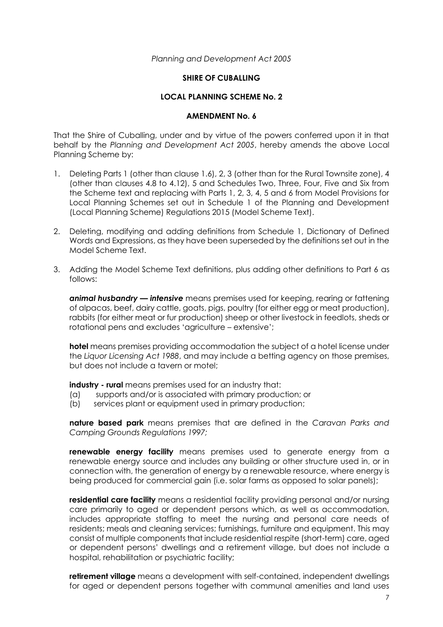#### *Planning and Development Act 2005*

#### **SHIRE OF CUBALLING**

#### **LOCAL PLANNING SCHEME No. 2**

#### **AMENDMENT No. 6**

That the Shire of Cuballing, under and by virtue of the powers conferred upon it in that behalf by the *Planning and Development Act 2005*, hereby amends the above Local Planning Scheme by:

- 1. Deleting Parts 1 (other than clause 1.6), 2, 3 (other than for the Rural Townsite zone), 4 (other than clauses 4.8 to 4.12), 5 and Schedules Two, Three, Four, Five and Six from the Scheme text and replacing with Parts 1, 2, 3, 4, 5 and 6 from Model Provisions for Local Planning Schemes set out in Schedule 1 of the Planning and Development (Local Planning Scheme) Regulations 2015 (Model Scheme Text).
- 2. Deleting, modifying and adding definitions from Schedule 1, Dictionary of Defined Words and Expressions, as they have been superseded by the definitions set out in the Model Scheme Text.
- 3. Adding the Model Scheme Text definitions, plus adding other definitions to Part 6 as follows:

*animal husbandry — intensive* means premises used for keeping, rearing or fattening of alpacas, beef, dairy cattle, goats, pigs, poultry (for either egg or meat production), rabbits (for either meat or fur production) sheep or other livestock in feedlots, sheds or rotational pens and excludes 'agriculture – extensive';

**hotel** means premises providing accommodation the subject of a hotel license under the *Liquor Licensing Act 1988*, and may include a betting agency on those premises, but does not include a tavern or motel;

**industry - rural** means premises used for an industry that:

- (a) supports and/or is associated with primary production; or
- (b) services plant or equipment used in primary production;

**nature based park** means premises that are defined in the *Caravan Parks and Camping Grounds Regulations 1997;*

**renewable energy facility** means premises used to generate energy from a renewable energy source and includes any building or other structure used in, or in connection with, the generation of energy by a renewable resource, where energy is being produced for commercial gain (i.e. solar farms as opposed to solar panels);

**residential care facility** means a residential facility providing personal and/or nursing care primarily to aged or dependent persons which, as well as accommodation, includes appropriate staffing to meet the nursing and personal care needs of residents; meals and cleaning services; furnishings, furniture and equipment. This may consist of multiple components that include residential respite (short-term) care, aged or dependent persons' dwellings and a retirement village, but does not include a hospital, rehabilitation or psychiatric facility;

**retirement village** means a development with self-contained, independent dwellings for aged or dependent persons together with communal amenities and land uses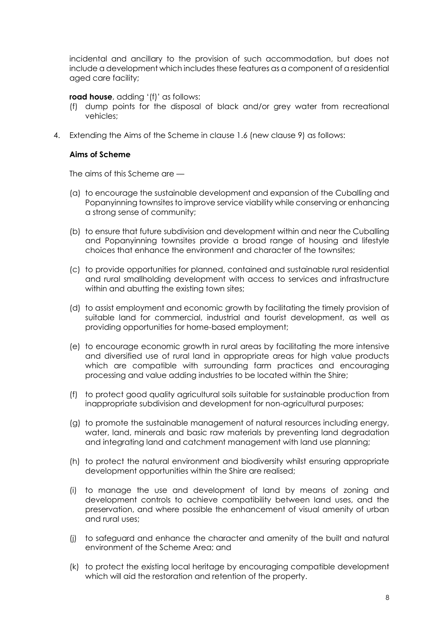incidental and ancillary to the provision of such accommodation, but does not include a development which includes these features as a component of a residential aged care facility;

#### **road house**, adding '(f)' as follows:

- (f) dump points for the disposal of black and/or grey water from recreational vehicles;
- 4. Extending the Aims of the Scheme in clause 1.6 (new clause 9) as follows:

#### **Aims of Scheme**

The aims of this Scheme are —

- (a) to encourage the sustainable development and expansion of the Cuballing and Popanyinning townsites to improve service viability while conserving or enhancing a strong sense of community;
- (b) to ensure that future subdivision and development within and near the Cuballing and Popanyinning townsites provide a broad range of housing and lifestyle choices that enhance the environment and character of the townsites;
- (c) to provide opportunities for planned, contained and sustainable rural residential and rural smallholding development with access to services and infrastructure within and abutting the existing town sites;
- (d) to assist employment and economic growth by facilitating the timely provision of suitable land for commercial, industrial and tourist development, as well as providing opportunities for home-based employment;
- (e) to encourage economic growth in rural areas by facilitating the more intensive and diversified use of rural land in appropriate areas for high value products which are compatible with surrounding farm practices and encouraging processing and value adding industries to be located within the Shire;
- (f) to protect good quality agricultural soils suitable for sustainable production from inappropriate subdivision and development for non-agricultural purposes;
- (g) to promote the sustainable management of natural resources including energy, water, land, minerals and basic raw materials by preventing land degradation and integrating land and catchment management with land use planning;
- (h) to protect the natural environment and biodiversity whilst ensuring appropriate development opportunities within the Shire are realised;
- (i) to manage the use and development of land by means of zoning and development controls to achieve compatibility between land uses, and the preservation, and where possible the enhancement of visual amenity of urban and rural uses;
- (j) to safeguard and enhance the character and amenity of the built and natural environment of the Scheme Area; and
- (k) to protect the existing local heritage by encouraging compatible development which will aid the restoration and retention of the property.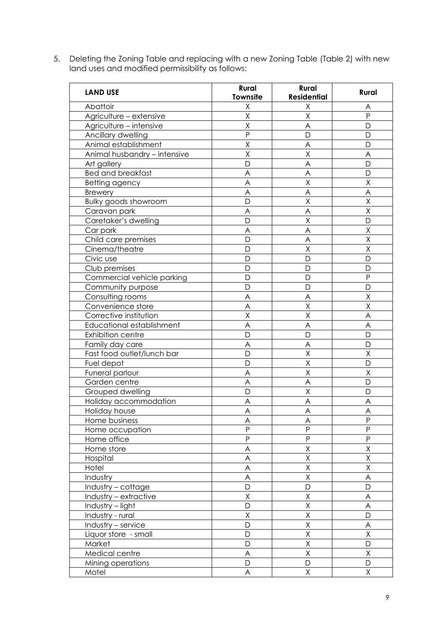5. Deleting the Zoning Table and replacing with a new Zoning Table (Table 2) with new land uses and modified permissibility as follows:

| <b>LAND USE</b>              | Rural<br>Townsite | Rural<br><b>Residential</b> | Rural        |
|------------------------------|-------------------|-----------------------------|--------------|
| Abattoir                     | Χ                 | Χ                           | Α            |
| Agriculture - extensive      | X                 | Χ                           | P            |
| Agriculture - intensive      | X                 | A                           | D            |
| Ancillary dwelling           | P                 | D                           | D            |
| Animal establishment         | Χ                 | A                           | D            |
| Animal husbandry - intensive | X                 | Χ                           | A            |
| Art gallery                  | D                 | A                           | D            |
| <b>Bed and breakfast</b>     | A                 | A                           | D            |
| Betting agency               | A                 | Χ                           | Χ            |
| <b>Brewery</b>               | A                 | A                           | A            |
| Bulky goods showroom         | D                 | X                           | Χ            |
| Caravan park                 | A                 | A                           | X            |
| Caretaker's dwelling         | D                 | X                           | D            |
| Car park                     | A                 | A                           | Χ            |
| Child care premises          | D                 | A                           | X            |
| Cinema/theatre               | D                 | Χ                           | Χ            |
| Civic use                    | D                 | D                           | D            |
| Club premises                | D                 | D                           | D            |
| Commercial vehicle parking   | D                 | D                           | P            |
| Community purpose            | D                 | D                           | D            |
| Consulting rooms             | A                 | A                           | X            |
| Convenience store            | A                 | X                           | $\sf X$      |
| Corrective institution       | X                 | $\sf X$                     | A            |
| Educational establishment    | A                 | A                           | A            |
| <b>Exhibition centre</b>     | D                 | D                           | D            |
| Family day care              | A                 | A                           | D            |
| Fast food outlet/lunch bar   | D                 | X                           | X            |
| Fuel depot                   | D                 | X                           | $\mathsf{D}$ |
| Funeral parlour              | A                 | Χ                           | Χ            |
| Garden centre                | A                 | A                           | D            |
| Grouped dwelling             | D                 | Χ                           | D            |
| Holiday accommodation        | Α                 | Α                           | Α            |
| Holiday house                | A                 | A                           | A            |
| Home business                | A                 | A                           | ${\sf P}$    |
| Home occupation              | P                 | P                           | P            |
| Home office                  | P                 | $\mathsf{P}$                | P            |
| Home store                   | A                 | Χ                           | Χ            |
| Hospital                     | A                 | Χ                           | Χ            |
| Hotel                        | A                 | χ                           | Χ            |
| Industry                     | A                 | Χ                           | A            |
| Industry - cottage           | D                 | D                           | D            |
| Industry - extractive        | Χ                 | Χ                           | A            |
| Industry - light             | D                 | X                           | A            |
| Industry - rural             | Χ                 | Χ                           | D            |
| Industry $-$ service         | D                 | Χ                           | A            |
| Liquor store - small         | D                 | Χ                           | Χ            |
| Market                       | D                 | $\mathsf X$                 | D            |
| Medical centre               | A                 | Χ                           | Χ            |
| Mining operations            | D                 | D                           | D            |
| Motel                        | A                 | Χ                           | Χ            |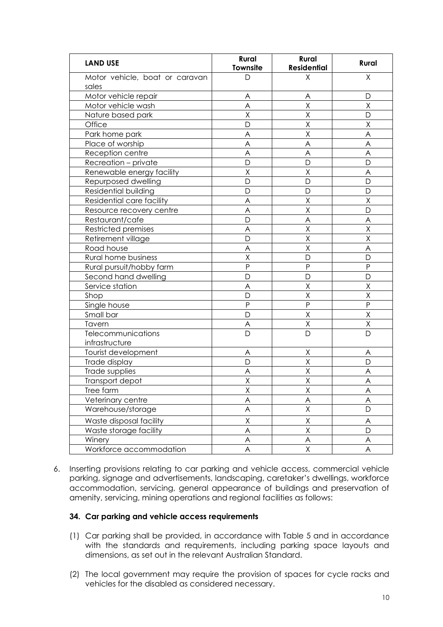| <b>LAND USE</b>                         | <b>Rural</b><br>Townsite | Rural<br><b>Residential</b> | Rural          |
|-----------------------------------------|--------------------------|-----------------------------|----------------|
| Motor vehicle, boat or caravan<br>sales | D                        | Χ                           | X              |
| Motor vehicle repair                    | A                        | A                           | D              |
| Motor vehicle wash                      | A                        | Χ                           | Χ              |
| Nature based park                       | X                        | Χ                           | D              |
| Office                                  | D                        | Χ                           | Χ              |
| Park home park                          | A                        | Χ                           | A              |
| Place of worship                        | A                        | A                           | A              |
| Reception centre                        | A                        | A                           | A              |
| Recreation - private                    | D                        | D                           | $\mathsf{D}$   |
| Renewable energy facility               | X                        | Χ                           | A              |
| Repurposed dwelling                     | D                        | D                           | D              |
| Residential building                    | D                        | D                           | D              |
| Residential care facility               | A                        | $\overline{\mathsf{x}}$     | $\overline{X}$ |
| Resource recovery centre                | A                        | X                           | D              |
| Restaurant/cafe                         | D                        | A                           | A              |
| <b>Restricted premises</b>              | A                        | Χ                           | Χ              |
| Retirement village                      | D                        | Χ                           | Χ              |
| Road house                              | A                        | X                           | A              |
| Rural home business                     | X                        | D                           | D              |
| Rural pursuit/hobby farm                | P                        | P                           | $\overline{P}$ |
| Second hand dwelling                    | D                        | D                           | D              |
| Service station                         | A                        | Χ                           | Χ              |
| Shop                                    | D                        | $\overline{\mathsf{X}}$     | $\sf X$        |
| Single house                            | $\mathsf{P}$             | $\mathsf{P}$                | $\overline{P}$ |
| Small bar                               | D                        | Χ                           | Χ              |
| Tavern                                  | A                        | Χ                           | Χ              |
| Telecommunications                      | D                        | D                           | D              |
| infrastructure                          |                          |                             |                |
| Tourist development                     | A                        | Χ                           | A              |
| Trade display                           | D                        | Χ                           | $\mathsf{D}$   |
| Trade supplies                          | Α                        | Χ                           | A              |
| Transport depot                         | Χ                        | Χ                           | A              |
| Tree farm                               | Χ                        | Χ                           | A              |
| Veterinary centre                       | A                        | A                           | A              |
| Warehouse/storage                       | A                        | Χ                           | D              |
| Waste disposal facility                 | Χ                        | Χ                           | A              |
| Waste storage facility                  | A                        | Χ                           | D              |
| Winery                                  | A                        | A                           | A              |
| Workforce accommodation                 | A                        | Χ                           | A              |

6. Inserting provisions relating to car parking and vehicle access, commercial vehicle parking, signage and advertisements, landscaping, caretaker's dwellings, workforce accommodation, servicing, general appearance of buildings and preservation of amenity, servicing, mining operations and regional facilities as follows:

#### **34. Car parking and vehicle access requirements**

- (1) Car parking shall be provided, in accordance with Table 5 and in accordance with the standards and requirements, including parking space layouts and dimensions, as set out in the relevant Australian Standard.
- (2) The local government may require the provision of spaces for cycle racks and vehicles for the disabled as considered necessary.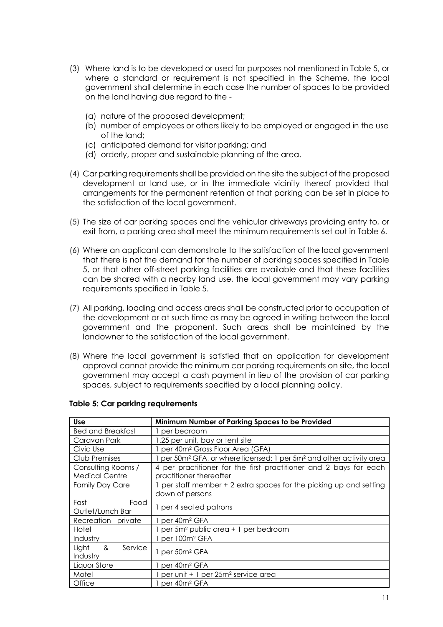- (3) Where land is to be developed or used for purposes not mentioned in Table 5, or where a standard or requirement is not specified in the Scheme, the local government shall determine in each case the number of spaces to be provided on the land having due regard to the -
	- (a) nature of the proposed development;
	- (b) number of employees or others likely to be employed or engaged in the use of the land;
	- (c) anticipated demand for visitor parking; and
	- (d) orderly, proper and sustainable planning of the area.
- (4) Car parking requirements shall be provided on the site the subject of the proposed development or land use, or in the immediate vicinity thereof provided that arrangements for the permanent retention of that parking can be set in place to the satisfaction of the local government.
- (5) The size of car parking spaces and the vehicular driveways providing entry to, or exit from, a parking area shall meet the minimum requirements set out in Table 6.
- (6) Where an applicant can demonstrate to the satisfaction of the local government that there is not the demand for the number of parking spaces specified in Table 5, or that other off-street parking facilities are available and that these facilities can be shared with a nearby land use, the local government may vary parking requirements specified in Table 5.
- (7) All parking, loading and access areas shall be constructed prior to occupation of the development or at such time as may be agreed in writing between the local government and the proponent. Such areas shall be maintained by the landowner to the satisfaction of the local government.
- (8) Where the local government is satisfied that an application for development approval cannot provide the minimum car parking requirements on site, the local government may accept a cash payment in lieu of the provision of car parking spaces, subject to requirements specified by a local planning policy.

| <b>Use</b>               | Minimum Number of Parking Spaces to be Provided                                            |
|--------------------------|--------------------------------------------------------------------------------------------|
| <b>Bed and Breakfast</b> | 1 per bedroom                                                                              |
| Caravan Park             | 1.25 per unit, bay or tent site                                                            |
| Civic Use                | 1 per 40m <sup>2</sup> Gross Floor Area (GFA)                                              |
| Club Premises            | per 50m <sup>2</sup> GFA, or where licensed: 1 per 5m <sup>2</sup> and other activity area |
| Consulting Rooms /       | 4 per practitioner for the first practitioner and 2 bays for each                          |
| <b>Medical Centre</b>    | practitioner thereafter                                                                    |
| <b>Family Day Care</b>   | 1 per staff member + 2 extra spaces for the picking up and setting                         |
|                          | down of persons                                                                            |
| Fast<br>Food             | 1 per 4 seated patrons                                                                     |
| Outlet/Lunch Bar         |                                                                                            |
| Recreation - private     | per 40m <sup>2</sup> GFA                                                                   |
| Hotel                    | per 5m <sup>2</sup> public area + 1 per bedroom                                            |
| Industry                 | 1 per 100m <sup>2</sup> GFA                                                                |
| ୡ<br>Light<br>Service    | 1 per 50m <sup>2</sup> GFA                                                                 |
| Industry                 |                                                                                            |
| Liquor Store             | 1 per 40m <sup>2</sup> GFA                                                                 |
| Motel                    | per unit + 1 per 25m <sup>2</sup> service area                                             |
| Office                   | 1 per 40m <sup>2</sup> GFA                                                                 |

#### **Table 5: Car parking requirements**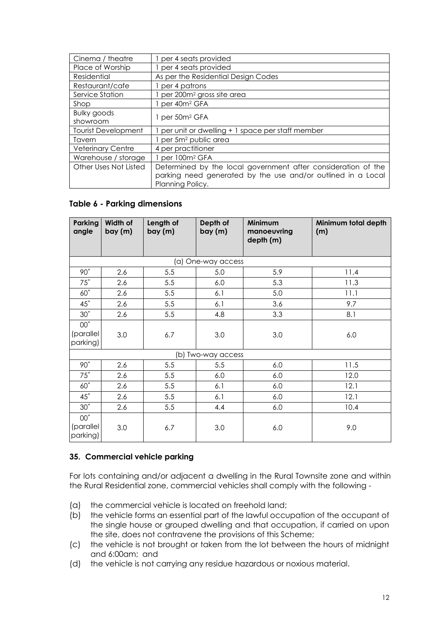| Cinema / theatre           | 1 per 4 seats provided                                        |
|----------------------------|---------------------------------------------------------------|
| Place of Worship           | 1 per 4 seats provided                                        |
| Residential                | As per the Residential Design Codes                           |
| Restaurant/cafe            | per 4 patrons                                                 |
| Service Station            | per 200m <sup>2</sup> gross site area                         |
| Shop                       | 1 per 40m <sup>2</sup> GFA                                    |
| <b>Bulky goods</b>         | 1 per 50m <sup>2</sup> GFA                                    |
| showroom                   |                                                               |
| <b>Tourist Development</b> | per unit or dwelling + 1 space per staff member               |
| Tavern                     | per 5m <sup>2</sup> public area                               |
| <b>Veterinary Centre</b>   | 4 per practitioner                                            |
| Warehouse / storage        | 1 per 100m <sup>2</sup> GFA                                   |
| Other Uses Not Listed      | Determined by the local government after consideration of the |
|                            | parking need generated by the use and/or outlined in a Local  |
|                            | Planning Policy.                                              |

#### **Table 6 - Parking dimensions**

| Parking<br>angle                         | Width of<br>bay (m) | Length of<br>bay (m) | Depth of<br>bay (m) | Minimum<br>manoeuvring<br>depth (m) | Minimum total depth<br>(m) |
|------------------------------------------|---------------------|----------------------|---------------------|-------------------------------------|----------------------------|
|                                          |                     |                      | (a) One-way access  |                                     |                            |
| 90°                                      | 2.6                 | 5.5                  | 5.0                 | 5.9                                 | 11.4                       |
| $75^\circ$                               | 2.6                 | 5.5                  | 6.0                 | 5.3                                 | 11.3                       |
| $60^\circ$                               | 2.6                 | 5.5                  | 6.1                 | 5.0                                 | 11.1                       |
| $45^\circ$                               | 2.6                 | 5.5                  | 6.1                 | 3.6                                 | 9.7                        |
| $30^\circ$                               | 2.6                 | 5.5                  | 4.8                 | 3.3                                 | 8.1                        |
| 00 <sub>o</sub><br>(parallel<br>parking) | 3.0                 | 6.7                  | 3.0                 | 3.0                                 | 6.0                        |
|                                          |                     |                      | (b) Two-way access  |                                     |                            |
| 90°                                      | 2.6                 | 5.5                  | 5.5                 | 6.0                                 | 11.5                       |
| $75^\circ$                               | 2.6                 | 5.5                  | 6.0                 | 6.0                                 | 12.0                       |
| $60^\circ$                               | 2.6                 | 5.5                  | 6.1                 | 6.0                                 | 12.1                       |
| $45^\circ$                               | 2.6                 | 5.5                  | 6.1                 | 6.0                                 | 12.1                       |
| $30^\circ$                               | 2.6                 | 5.5                  | 4.4                 | 6.0                                 | 10.4                       |
| $00^{\circ}$<br>(parallel<br>parking)    | 3.0                 | 6.7                  | 3.0                 | 6.0                                 | 9.0                        |

#### **35. Commercial vehicle parking**

For lots containing and/or adjacent a dwelling in the Rural Townsite zone and within the Rural Residential zone, commercial vehicles shall comply with the following -

- (a) the commercial vehicle is located on freehold land;
- (b) the vehicle forms an essential part of the lawful occupation of the occupant of the single house or grouped dwelling and that occupation, if carried on upon the site, does not contravene the provisions of this Scheme;
- (c) the vehicle is not brought or taken from the lot between the hours of midnight and 6:00am; and
- (d) the vehicle is not carrying any residue hazardous or noxious material.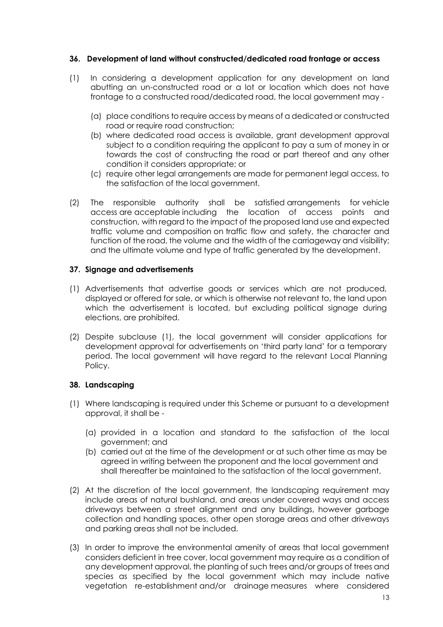#### **36. Development of land without constructed/dedicated road frontage or access**

- (1) In considering a development application for any development on land abutting an un-constructed road or a lot or location which does not have frontage to a constructed road/dedicated road, the local government may -
	- (a) place conditions to require access by means of a dedicated or constructed road or require road construction;
	- (b) where dedicated road access is available, grant development approval subject to a condition requiring the applicant to pay a sum of money in or towards the cost of constructing the road or part thereof and any other condition it considers appropriate; or
	- (c) require other legal arrangements are made for permanent legal access, to the satisfaction of the local government.
- (2) The responsible authority shall be satisfied arrangements for vehicle access are acceptable including the location of access points and construction, with regard to the impact of the proposed land use and expected traffic volume and composition on traffic flow and safety, the character and function of the road, the volume and the width of the carriageway and visibility; and the ultimate volume and type of traffic generated by the development.

#### **37. Signage and advertisements**

- (1) Advertisements that advertise goods or services which are not produced, displayed or offered for sale, or which is otherwise not relevant to, the land upon which the advertisement is located, but excluding political signage during elections, are prohibited.
- (2) Despite subclause (1), the local government will consider applications for development approval for advertisements on 'third party land' for a temporary period. The local government will have regard to the relevant Local Planning Policy.

#### **38. Landscaping**

- (1) Where landscaping is required under this Scheme or pursuant to a development approval, it shall be -
	- (a) provided in a location and standard to the satisfaction of the local government; and
	- (b) carried out at the time of the development or at such other time as may be agreed in writing between the proponent and the local government and shall thereafter be maintained to the satisfaction of the local government.
- (2) At the discretion of the local government, the landscaping requirement may include areas of natural bushland, and areas under covered ways and access driveways between a street alignment and any buildings, however garbage collection and handling spaces, other open storage areas and other driveways and parking areas shall not be included.
- (3) In order to improve the environmental amenity of areas that local government considers deficient in tree cover, local government may require as a condition of any development approval, the planting of such trees and/or groups of trees and species as specified by the local government which may include native vegetation re-establishment and/or drainage measures where considered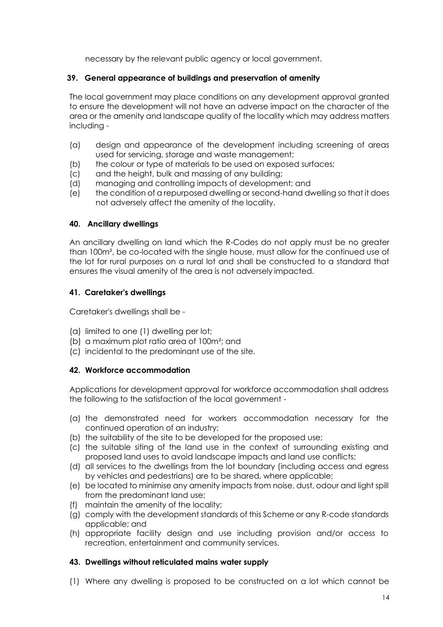necessary by the relevant public agency or local government.

#### **39. General appearance of buildings and preservation of amenity**

The local government may place conditions on any development approval granted to ensure the development will not have an adverse impact on the character of the area or the amenity and landscape quality of the locality which may address matters including -

- (a) design and appearance of the development including screening of areas used for servicing, storage and waste management;
- (b) the colour or type of materials to be used on exposed surfaces;
- (c) and the height, bulk and massing of any building;
- (d) managing and controlling impacts of development; and
- (e) the condition of a repurposed dwelling or second-hand dwelling so that it does not adversely affect the amenity of the locality.

#### **40. Ancillary dwellings**

An ancillary dwelling on land which the R-Codes do not apply must be no greater than 100m², be co-located with the single house, must allow for the continued use of the lot for rural purposes on a rural lot and shall be constructed to a standard that ensures the visual amenity of the area is not adversely impacted.

#### **41. Caretaker's dwellings**

Caretaker's dwellings shall be -

- (a) limited to one (1) dwelling per lot;
- (b) a maximum plot ratio area of 100m²; and
- (c) incidental to the predominant use of the site.

#### **42. Workforce accommodation**

Applications for development approval for workforce accommodation shall address the following to the satisfaction of the local government -

- (a) the demonstrated need for workers accommodation necessary for the continued operation of an industry;
- (b) the suitability of the site to be developed for the proposed use;
- (c) the suitable siting of the land use in the context of surrounding existing and proposed land uses to avoid landscape impacts and land use conflicts;
- (d) all services to the dwellings from the lot boundary (including access and egress by vehicles and pedestrians) are to be shared, where applicable;
- (e) be located to minimise any amenity impacts from noise, dust, odour and light spill from the predominant land use;
- (f) maintain the amenity of the locality;
- (g) comply with the development standards of this Scheme or any R-code standards applicable; and
- (h) appropriate facility design and use including provision and/or access to recreation, entertainment and community services.

#### **43. Dwellings without reticulated mains water supply**

(1) Where any dwelling is proposed to be constructed on a lot which cannot be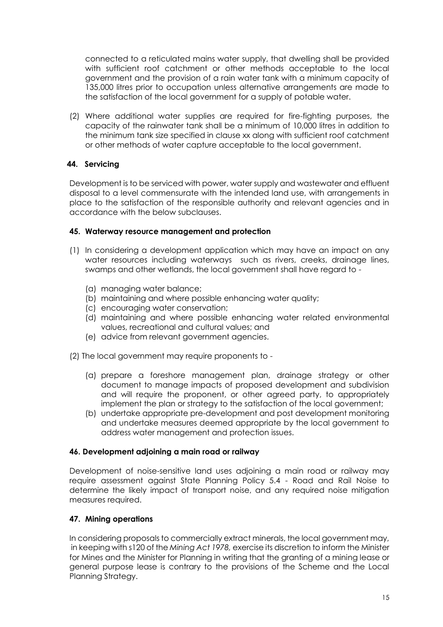connected to a reticulated mains water supply, that dwelling shall be provided with sufficient roof catchment or other methods acceptable to the local government and the provision of a rain water tank with a minimum capacity of 135,000 litres prior to occupation unless alternative arrangements are made to the satisfaction of the local government for a supply of potable water.

(2) Where additional water supplies are required for fire-fighting purposes, the capacity of the rainwater tank shall be a minimum of 10,000 litres in addition to the minimum tank size specified in clause xx along with sufficient roof catchment or other methods of water capture acceptable to the local government.

## **44. Servicing**

Development is to be serviced with power, water supply and wastewater and effluent disposal to a level commensurate with the intended land use, with arrangements in place to the satisfaction of the responsible authority and relevant agencies and in accordance with the below subclauses.

#### **45. Waterway resource management and protection**

- (1) In considering a development application which may have an impact on any water resources including waterways such as rivers, creeks, drainage lines, swamps and other wetlands, the local government shall have regard to -
	- (a) managing water balance;
	- (b) maintaining and where possible enhancing water quality;
	- (c) encouraging water conservation;
	- (d) maintaining and where possible enhancing water related environmental values, recreational and cultural values; and
	- (e) advice from relevant government agencies.
- (2) The local government may require proponents to
	- (a) prepare a foreshore management plan, drainage strategy or other document to manage impacts of proposed development and subdivision and will require the proponent, or other agreed party, to appropriately implement the plan or strategy to the satisfaction of the local government;
	- (b) undertake appropriate pre-development and post development monitoring and undertake measures deemed appropriate by the local government to address water management and protection issues.

#### **46. Development adjoining a main road or railway**

Development of noise-sensitive land uses adjoining a main road or railway may require assessment against State Planning Policy 5.4 - Road and Rail Noise to determine the likely impact of transport noise, and any required noise mitigation measures required.

#### **47. Mining operations**

In considering proposals to commercially extract minerals, the local government may, in keeping with s120 of the *Mining Act 1978,* exercise its discretion to inform the Minister for Mines and the Minister for Planning in writing that the granting of a mining lease or general purpose lease is contrary to the provisions of the Scheme and the Local Planning Strategy.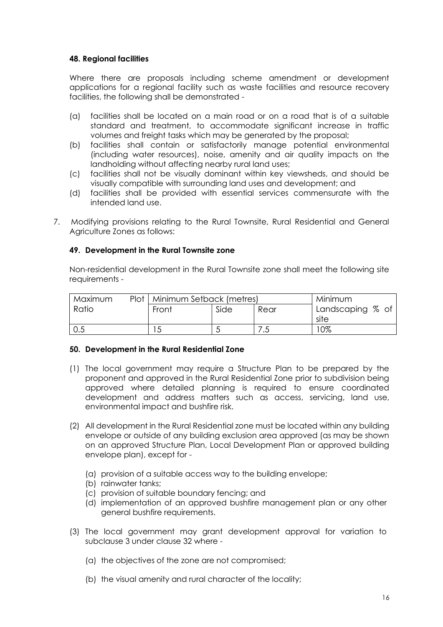#### **48. Regional facilities**

Where there are proposals including scheme amendment or development applications for a regional facility such as waste facilities and resource recovery facilities, the following shall be demonstrated -

- (a) facilities shall be located on a main road or on a road that is of a suitable standard and treatment, to accommodate significant increase in traffic volumes and freight tasks which may be generated by the proposal;
- (b) facilities shall contain or satisfactorily manage potential environmental (including water resources), noise, amenity and air quality impacts on the landholding without affecting nearby rural land uses;
- (c) facilities shall not be visually dominant within key viewsheds, and should be visually compatible with surrounding land uses and development; and
- (d) facilities shall be provided with essential services commensurate with the intended land use.
- 7. Modifying provisions relating to the Rural Townsite, Rural Residential and General Agriculture Zones as follows:

#### **49. Development in the Rural Townsite zone**

Non-residential development in the Rural Townsite zone shall meet the following site requirements -

| Maximum | Plot   Minimum Setback (metres) |      |      | Minimum          |
|---------|---------------------------------|------|------|------------------|
| Ratio   | Front                           | Side | Rear | Landscaping % of |
|         |                                 |      |      | site             |
| 0.5     | $\sim$                          |      | ں،   | 0%               |

#### **50. Development in the Rural Residential Zone**

- (1) The local government may require a Structure Plan to be prepared by the proponent and approved in the Rural Residential Zone prior to subdivision being approved where detailed planning is required to ensure coordinated development and address matters such as access, servicing, land use, environmental impact and bushfire risk.
- (2) All development in the Rural Residential zone must be located within any building envelope or outside of any building exclusion area approved (as may be shown on an approved Structure Plan, Local Development Plan or approved building envelope plan), except for -
	- (a) provision of a suitable access way to the building envelope;
	- (b) rainwater tanks;
	- (c) provision of suitable boundary fencing; and
	- (d) implementation of an approved bushfire management plan or any other general bushfire requirements.
- (3) The local government may grant development approval for variation to subclause 3 under clause 32 where -
	- (a) the objectives of the zone are not compromised;
	- (b) the visual amenity and rural character of the locality;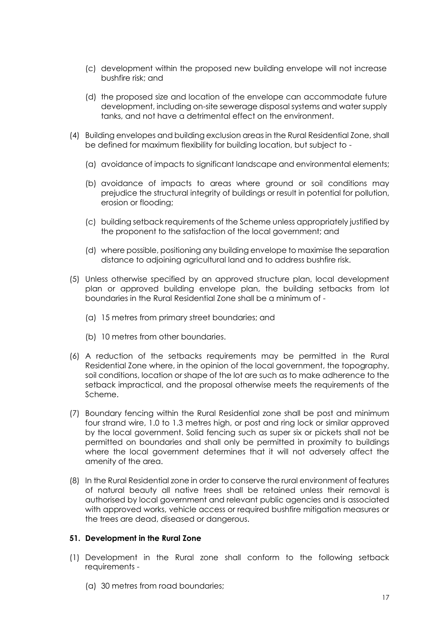- (c) development within the proposed new building envelope will not increase bushfire risk; and
- (d) the proposed size and location of the envelope can accommodate future development, including on-site sewerage disposal systems and water supply tanks, and not have a detrimental effect on the environment.
- (4) Building envelopes and building exclusion areas in the Rural Residential Zone, shall be defined for maximum flexibility for building location, but subject to -
	- (a) avoidance of impacts to significant landscape and environmental elements;
	- (b) avoidance of impacts to areas where ground or soil conditions may prejudice the structural integrity of buildings or result in potential for pollution, erosion or flooding;
	- (c) building setback requirements of the Scheme unless appropriately justified by the proponent to the satisfaction of the local government; and
	- (d) where possible, positioning any building envelope to maximise the separation distance to adjoining agricultural land and to address bushfire risk.
- (5) Unless otherwise specified by an approved structure plan, local development plan or approved building envelope plan, the building setbacks from lot boundaries in the Rural Residential Zone shall be a minimum of -
	- (a) 15 metres from primary street boundaries; and
	- (b) 10 metres from other boundaries.
- (6) A reduction of the setbacks requirements may be permitted in the Rural Residential Zone where, in the opinion of the local government, the topography, soil conditions, location or shape of the lot are such as to make adherence to the setback impractical, and the proposal otherwise meets the requirements of the Scheme.
- (7) Boundary fencing within the Rural Residential zone shall be post and minimum four strand wire, 1.0 to 1.3 metres high, or post and ring lock or similar approved by the local government. Solid fencing such as super six or pickets shall not be permitted on boundaries and shall only be permitted in proximity to buildings where the local government determines that it will not adversely affect the amenity of the area.
- (8) In the Rural Residential zone in order to conserve the rural environment of features of natural beauty all native trees shall be retained unless their removal is authorised by local government and relevant public agencies and is associated with approved works, vehicle access or required bushfire mitigation measures or the trees are dead, diseased or dangerous.

#### **51. Development in the Rural Zone**

- (1) Development in the Rural zone shall conform to the following setback requirements -
	- (a) 30 metres from road boundaries;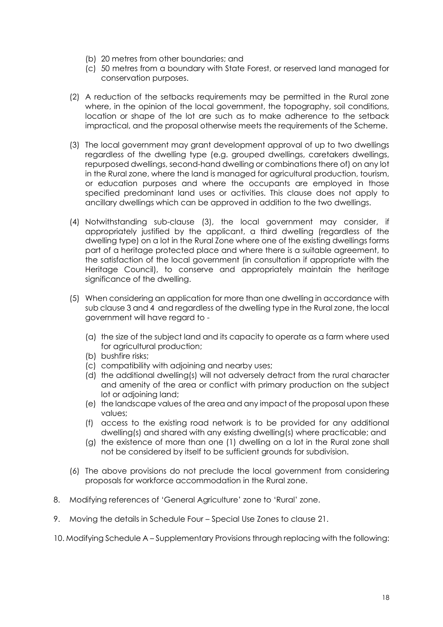- (b) 20 metres from other boundaries; and
- (c) 50 metres from a boundary with State Forest, or reserved land managed for conservation purposes.
- (2) A reduction of the setbacks requirements may be permitted in the Rural zone where, in the opinion of the local government, the topography, soil conditions, location or shape of the lot are such as to make adherence to the setback impractical, and the proposal otherwise meets the requirements of the Scheme.
- (3) The local government may grant development approval of up to two dwellings regardless of the dwelling type (e.g. grouped dwellings, caretakers dwellings, repurposed dwellings, second-hand dwelling or combinations there of) on any lot in the Rural zone, where the land is managed for agricultural production, tourism, or education purposes and where the occupants are employed in those specified predominant land uses or activities. This clause does not apply to ancillary dwellings which can be approved in addition to the two dwellings.
- (4) Notwithstanding sub-clause (3), the local government may consider, if appropriately justified by the applicant, a third dwelling (regardless of the dwelling type) on a lot in the Rural Zone where one of the existing dwellings forms part of a heritage protected place and where there is a suitable agreement, to the satisfaction of the local government (in consultation if appropriate with the Heritage Council), to conserve and appropriately maintain the heritage significance of the dwelling.
- (5) When considering an application for more than one dwelling in accordance with sub clause 3 and 4 and regardless of the dwelling type in the Rural zone, the local government will have regard to -
	- (a) the size of the subject land and its capacity to operate as a farm where used for agricultural production;
	- (b) bushfire risks;
	- (c) compatibility with adjoining and nearby uses;
	- (d) the additional dwelling(s) will not adversely detract from the rural character and amenity of the area or conflict with primary production on the subject lot or adjoining land;
	- (e) the landscape values of the area and any impact of the proposal upon these values;
	- (f) access to the existing road network is to be provided for any additional dwelling(s) and shared with any existing dwelling(s) where practicable; and
	- (g) the existence of more than one (1) dwelling on a lot in the Rural zone shall not be considered by itself to be sufficient grounds for subdivision.
- (6) The above provisions do not preclude the local government from considering proposals for workforce accommodation in the Rural zone.
- 8. Modifying references of 'General Agriculture' zone to 'Rural' zone.
- 9. Moving the details in Schedule Four Special Use Zones to clause 21.
- 10. Modifying Schedule A Supplementary Provisions through replacing with the following: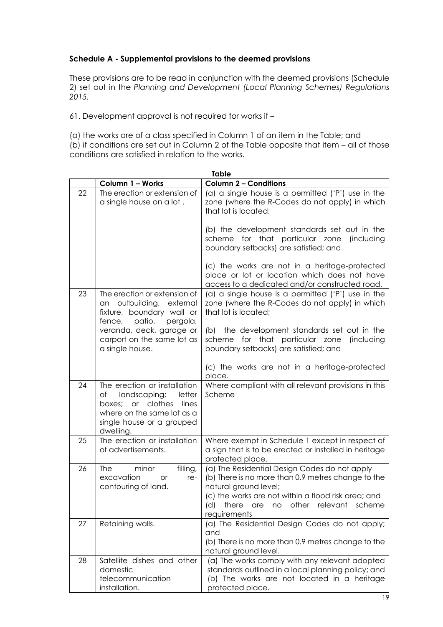#### **Schedule A - Supplemental provisions to the deemed provisions**

These provisions are to be read in conjunction with the deemed provisions (Schedule 2) set out in the *Planning and Development (Local Planning Schemes) Regulations 2015.*

61. Development approval is not required for works if –

(a) the works are of a class specified in Column 1 of an item in the Table; and (b) if conditions are set out in Column 2 of the Table opposite that item – all of those conditions are satisfied in relation to the works.

|    | <b>Table</b>                                                                                                                                                          |                                                                                                                                                                                                                                               |  |  |  |
|----|-----------------------------------------------------------------------------------------------------------------------------------------------------------------------|-----------------------------------------------------------------------------------------------------------------------------------------------------------------------------------------------------------------------------------------------|--|--|--|
|    | Column 1 - Works                                                                                                                                                      | <b>Column 2 - Conditions</b>                                                                                                                                                                                                                  |  |  |  |
| 22 | The erection or extension of<br>a single house on a lot.                                                                                                              | (a) a single house is a permitted ('P') use in the<br>zone (where the R-Codes do not apply) in which<br>that lot is located;                                                                                                                  |  |  |  |
|    |                                                                                                                                                                       | (b) the development standards set out in the<br>scheme for that particular zone<br>(including<br>boundary setbacks) are satisfied; and                                                                                                        |  |  |  |
|    |                                                                                                                                                                       | (c) the works are not in a heritage-protected<br>place or lot or location which does not have<br>access to a dedicated and/or constructed road.                                                                                               |  |  |  |
| 23 | The erection or extension of<br>an outbuilding, external<br>fixture, boundary wall or                                                                                 | (a) a single house is a permitted ('P') use in the<br>zone (where the R-Codes do not apply) in which<br>that lot is located;                                                                                                                  |  |  |  |
|    | fence, patio,<br>pergola,<br>veranda, deck, garage or<br>carport on the same lot as<br>a single house.                                                                | (b) the development standards set out in the<br>scheme for that particular zone<br>(including<br>boundary setbacks) are satisfied; and                                                                                                        |  |  |  |
|    |                                                                                                                                                                       | (c) the works are not in a heritage-protected<br>place.                                                                                                                                                                                       |  |  |  |
| 24 | The erection or installation<br>landscaping;<br>letter<br>of<br>or clothes<br>lines<br>boxes:<br>where on the same lot as a<br>single house or a grouped<br>dwelling. | Where compliant with all relevant provisions in this<br>Scheme                                                                                                                                                                                |  |  |  |
| 25 | The erection or installation<br>of advertisements.                                                                                                                    | Where exempt in Schedule 1 except in respect of<br>a sign that is to be erected or installed in heritage<br>protected place.                                                                                                                  |  |  |  |
| 26 | <b>The</b><br>filling,<br>minor<br>excavation<br>re-<br><b>or</b><br>contouring of land.                                                                              | (a) The Residential Design Codes do not apply<br>(b) There is no more than 0.9 metres change to the<br>natural ground level;<br>(c) the works are not within a flood risk area; and<br>(d) there are no other relevant scheme<br>requirements |  |  |  |
| 27 | Retaining walls.                                                                                                                                                      | (a) The Residential Design Codes do not apply;<br>and<br>(b) There is no more than 0.9 metres change to the<br>natural ground level.                                                                                                          |  |  |  |
| 28 | Satellite dishes and other<br>domestic<br>telecommunication<br>installation.                                                                                          | (a) The works comply with any relevant adopted<br>standards outlined in a local planning policy; and<br>(b) The works are not located in a heritage<br>protected place.                                                                       |  |  |  |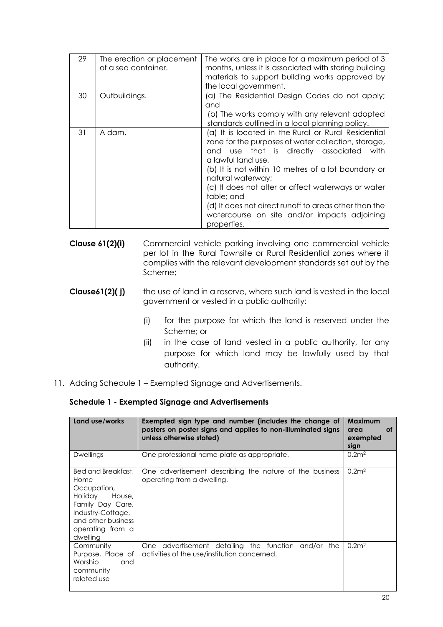| 29 | The erection or placement<br>of a sea container. | The works are in place for a maximum period of 3<br>months, unless it is associated with storing building<br>materials to support building works approved by<br>the local government.                                                                                                                                                                                                                                                                   |
|----|--------------------------------------------------|---------------------------------------------------------------------------------------------------------------------------------------------------------------------------------------------------------------------------------------------------------------------------------------------------------------------------------------------------------------------------------------------------------------------------------------------------------|
| 30 | Outbuildings.                                    | (a) The Residential Design Codes do not apply;<br>and<br>(b) The works comply with any relevant adopted<br>standards outlined in a local planning policy.                                                                                                                                                                                                                                                                                               |
| 31 | A dam.                                           | (a) It is located in the Rural or Rural Residential<br>zone for the purposes of water collection, storage,<br>and use that is directly associated<br>with<br>a lawful land use.<br>(b) It is not within 10 metres of a lot boundary or<br>natural waterway;<br>(c) It does not alter or affect waterways or water<br>table; and<br>(d) It does not direct runoff to areas other than the<br>watercourse on site and/or impacts adjoining<br>properties. |

- **Clause 61(2)(i)** Commercial vehicle parking involving one commercial vehicle per lot in the Rural Townsite or Rural Residential zones where it complies with the relevant development standards set out by the Scheme;
- **Clause61(2)( j)** the use of land in a reserve, where such land is vested in the local government or vested in a public authority:
	- (i) for the purpose for which the land is reserved under the Scheme; or
	- (ii) in the case of land vested in a public authority, for any purpose for which land may be lawfully used by that authority.
- 11. Adding Schedule 1 Exempted Signage and Advertisements.

#### **Schedule 1 - Exempted Signage and Advertisements**

| Land use/works                                                                                                                                                | Exempted sign type and number (includes the change of<br>posters on poster signs and applies to non-illuminated signs<br>unless otherwise stated) | <b>Maximum</b><br>οf<br>area<br>exempted<br>sign |
|---------------------------------------------------------------------------------------------------------------------------------------------------------------|---------------------------------------------------------------------------------------------------------------------------------------------------|--------------------------------------------------|
| Dwellings                                                                                                                                                     | One professional name-plate as appropriate.                                                                                                       | 0.2 <sup>2</sup>                                 |
| Bed and Breakfast.<br>Home<br>Occupation,<br>Holiday<br>House,<br>Family Day Care,<br>Industry-Cottage,<br>and other business<br>operating from a<br>dwelling | One advertisement describing the nature of the business<br>operating from a dwelling.                                                             | 0.2 <sup>m2</sup>                                |
| Community<br>Purpose, Place of<br>Worship<br>and<br>community<br>related use                                                                                  | One advertisement detailing the function and/or the<br>activities of the use/institution concerned.                                               | 0.2 <sup>m2</sup>                                |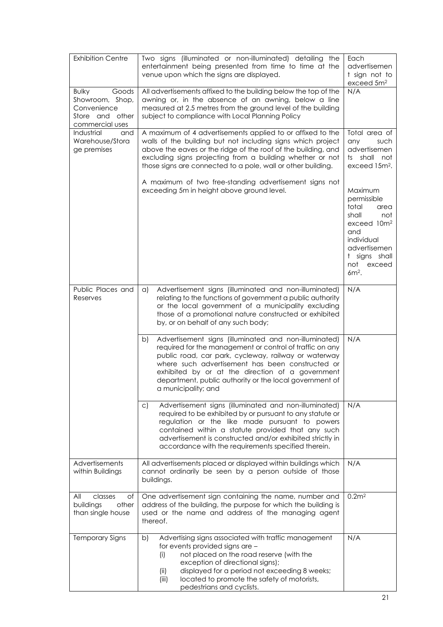| <b>Exhibition Centre</b>                                                                         | Two signs (illuminated or non-illuminated) detailing the<br>entertainment being presented from time to time at the<br>venue upon which the signs are displayed.                                                                                                                                                                                                           | Each<br>advertisemen<br>t sign not to<br>exceed 5m <sup>2</sup>                                                                                                      |
|--------------------------------------------------------------------------------------------------|---------------------------------------------------------------------------------------------------------------------------------------------------------------------------------------------------------------------------------------------------------------------------------------------------------------------------------------------------------------------------|----------------------------------------------------------------------------------------------------------------------------------------------------------------------|
| <b>Bulky</b><br>Goods<br>Showroom, Shop,<br>Convenience<br>other<br>Store and<br>commercial uses | All advertisements affixed to the building below the top of the<br>awning or, in the absence of an awning, below a line<br>measured at 2.5 metres from the ground level of the building<br>subject to compliance with Local Planning Policy                                                                                                                               | N/A                                                                                                                                                                  |
| Industrial<br>and<br>Warehouse/Stora<br>ge premises                                              | A maximum of 4 advertisements applied to or affixed to the<br>walls of the building but not including signs which project<br>above the eaves or the ridge of the roof of the building, and<br>excluding signs projecting from a building whether or not<br>those signs are connected to a pole, wall or other building.                                                   | Total area of<br>any<br>such<br>advertisemen<br>ts shall not<br>exceed 15m <sup>2</sup> .                                                                            |
|                                                                                                  | A maximum of two free-standing advertisement signs not<br>exceeding 5m in height above ground level.                                                                                                                                                                                                                                                                      | Maximum<br>permissible<br>total<br>area<br>shall<br>not<br>exceed 10m <sup>2</sup><br>and<br>individual<br>advertisemen<br>t signs shall<br>not<br>exceed<br>$6m2$ . |
| Public Places and<br>Reserves                                                                    | Advertisement signs (illuminated and non-illuminated)<br>$\alpha$<br>relating to the functions of government a public authority<br>or the local government of a municipality excluding<br>those of a promotional nature constructed or exhibited<br>by, or on behalf of any such body;                                                                                    | N/A                                                                                                                                                                  |
|                                                                                                  | Advertisement signs (illuminated and non-illuminated)<br>b)<br>required for the management or control of traffic on any<br>public road, car park, cycleway, railway or waterway<br>where such advertisement has been constructed or<br>exhibited by or at the direction of a government<br>department, public authority or the local government of<br>a municipality; and | N/A                                                                                                                                                                  |
|                                                                                                  | Advertisement signs (illuminated and non-illuminated)<br>$\mathsf{C}$<br>required to be exhibited by or pursuant to any statute or<br>regulation or the like made pursuant to powers<br>contained within a statute provided that any such<br>advertisement is constructed and/or exhibited strictly in<br>accordance with the requirements specified therein.             | N/A                                                                                                                                                                  |
| Advertisements<br>within Buildings                                                               | All advertisements placed or displayed within buildings which<br>cannot ordinarily be seen by a person outside of those<br>buildings.                                                                                                                                                                                                                                     | N/A                                                                                                                                                                  |
| All<br>classes<br>of<br>other<br>buildings<br>than single house                                  | One advertisement sign containing the name, number and<br>address of the building, the purpose for which the building is<br>used or the name and address of the managing agent<br>thereof.                                                                                                                                                                                | 0.2m <sup>2</sup>                                                                                                                                                    |
| <b>Temporary Signs</b>                                                                           | Advertising signs associated with traffic management<br>b)<br>for events provided signs are -<br>not placed on the road reserve (with the<br>(i)<br>exception of directional signs);<br>displayed for a period not exceeding 8 weeks;<br>(ii)<br>located to promote the safety of motorists,<br>(iii)<br>pedestrians and cyclists.                                        | N/A                                                                                                                                                                  |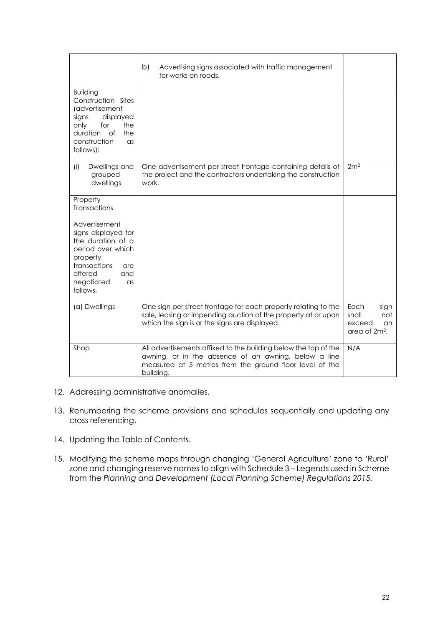|                                                                                                                                                                             | b)<br>Advertising signs associated with traffic management<br>for works on roads.                                                                                                               |                                                                            |
|-----------------------------------------------------------------------------------------------------------------------------------------------------------------------------|-------------------------------------------------------------------------------------------------------------------------------------------------------------------------------------------------|----------------------------------------------------------------------------|
| <b>Building</b><br>Construction Sites<br>(advertisement<br>signs<br>displayed<br>for<br>the<br>only<br>duration<br>the<br>Οf<br>construction<br>$\alpha$ s<br>follows):     |                                                                                                                                                                                                 |                                                                            |
| (i)<br>Dwellings and<br>grouped<br>dwellings                                                                                                                                | One advertisement per street frontage containing details of<br>the project and the contractors undertaking the construction<br>work.                                                            | 2m <sup>2</sup>                                                            |
| Property<br>Transactions                                                                                                                                                    |                                                                                                                                                                                                 |                                                                            |
| Advertisement<br>signs displayed for<br>the duration of a<br>period over which<br>property<br>transactions<br>are<br>offered<br>and<br>negotiated<br>$\alpha$ s<br>follows. |                                                                                                                                                                                                 |                                                                            |
| (a) Dwellings                                                                                                                                                               | One sign per street frontage for each property relating to the<br>sale, leasing or impending auction of the property at or upon<br>which the sign is or the signs are displayed.                | Each<br>sign<br>shall<br>not<br>exceed<br>an.<br>area of 2m <sup>2</sup> . |
| Shop                                                                                                                                                                        | All advertisements affixed to the building below the top of the<br>awning, or in the absence of an awning, below a line<br>measured at 5 metres from the ground floor level of the<br>building. | N/A                                                                        |

- 12. Addressing administrative anomalies.
- 13. Renumbering the scheme provisions and schedules sequentially and updating any cross referencing.
- 14. Updating the Table of Contents.
- 15. Modifying the scheme maps through changing 'General Agriculture' zone to 'Rural' zone and changing reserve names to align with Schedule 3 – Legends used in Scheme from the *Planning and Development (Local Planning Scheme) Regulations 2015.*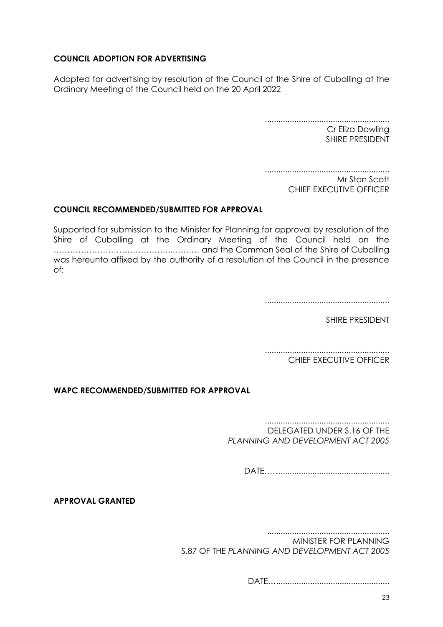## **COUNCIL ADOPTION FOR ADVERTISING**

Adopted for advertising by resolution of the Council of the Shire of Cuballing at the Ordinary Meeting of the Council held on the 20 April 2022

> ....................................................... Cr Eliza Dowling SHIRE PRESIDENT

> ....................................................... Mr Stan Scott CHIEF EXECUTIVE OFFICER

# **COUNCIL RECOMMENDED/SUBMITTED FOR APPROVAL**

Supported for submission to the Minister for Planning for approval by resolution of the Shire of Cuballing at the Ordinary Meeting of the Council held on the ……………………………………...……… and the Common Seal of the Shire of Cuballing was hereunto affixed by the authority of a resolution of the Council in the presence of:

.......................................................

SHIRE PRESIDENT

....................................................... CHIEF EXECUTIVE OFFICER

**WAPC RECOMMENDED/SUBMITTED FOR APPROVAL**

....................................................... DELEGATED UNDER S.16 OF THE *PLANNING AND DEVELOPMENT ACT 2005*

DATE………………………………………………

**APPROVAL GRANTED**

......................................................

MINISTER FOR PLANNING S.87 OF THE *PLANNING AND DEVELOPMENT ACT 2005*

DATE…..................................................